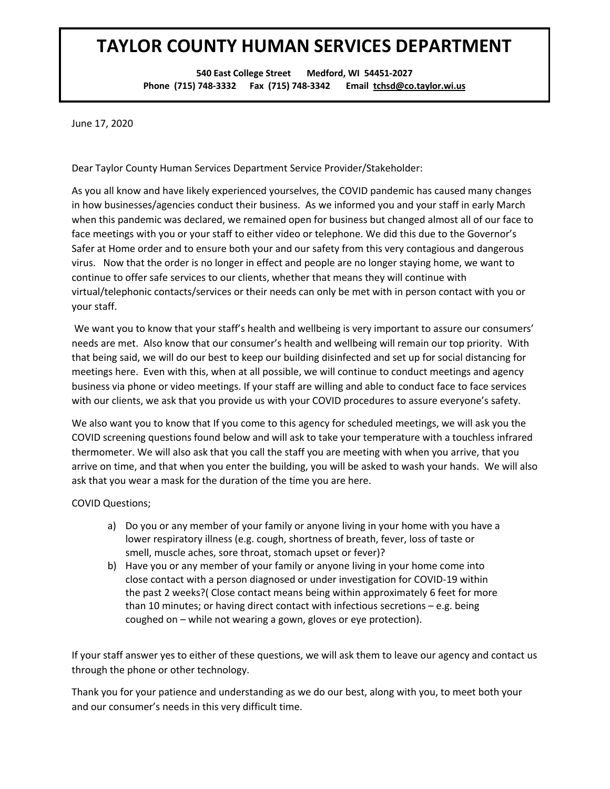## **TAYLOR COUNTY HUMAN SERVICES DEPARTMENT**

**540 East College Street Medford, WI 54451-2027 Phone (715) 748-3332 Fax (715) 748-3342 Email tchsd@co.taylor.wi.us**

June 17, 2020

Dear Taylor County Human Services Department Service Provider/Stakeholder:

As you all know and have likely experienced yourselves, the COVID pandemic has caused many changes in how businesses/agencies conduct their business. As we informed you and your staff in early March when this pandemic was declared, we remained open for business but changed almost all of our face to face meetings with you or your staff to either video or telephone. We did this due to the Governor's Safer at Home order and to ensure both your and our safety from this very contagious and dangerous virus. Now that the order is no longer in effect and people are no longer staying home, we want to continue to offer safe services to our clients, whether that means they will continue with virtual/telephonic contacts/services or their needs can only be met with in person contact with you or your staff.

We want you to know that your staff's health and wellbeing is very important to assure our consumers' needs are met. Also know that our consumer's health and wellbeing will remain our top priority. With that being said, we will do our best to keep our building disinfected and set up for social distancing for meetings here. Even with this, when at all possible, we will continue to conduct meetings and agency business via phone or video meetings. If your staff are willing and able to conduct face to face services with our clients, we ask that you provide us with your COVID procedures to assure everyone's safety.

We also want you to know that If you come to this agency for scheduled meetings, we will ask you the COVID screening questions found below and will ask to take your temperature with a touchless infrared thermometer. We will also ask that you call the staff you are meeting with when you arrive, that you arrive on time, and that when you enter the building, you will be asked to wash your hands. We will also ask that you wear a mask for the duration of the time you are here.

COVID Questions;

- a) Do you or any member of your family or anyone living in your home with you have a lower respiratory illness (e.g. cough, shortness of breath, fever, loss of taste or smell, muscle aches, sore throat, stomach upset or fever)?
- b) Have you or any member of your family or anyone living in your home come into close contact with a person diagnosed or under investigation for COVID-19 within the past 2 weeks?( Close contact means being within approximately 6 feet for more than 10 minutes; or having direct contact with infectious secretions – e.g. being coughed on – while not wearing a gown, gloves or eye protection).

If your staff answer yes to either of these questions, we will ask them to leave our agency and contact us through the phone or other technology.

Thank you for your patience and understanding as we do our best, along with you, to meet both your and our consumer's needs in this very difficult time.